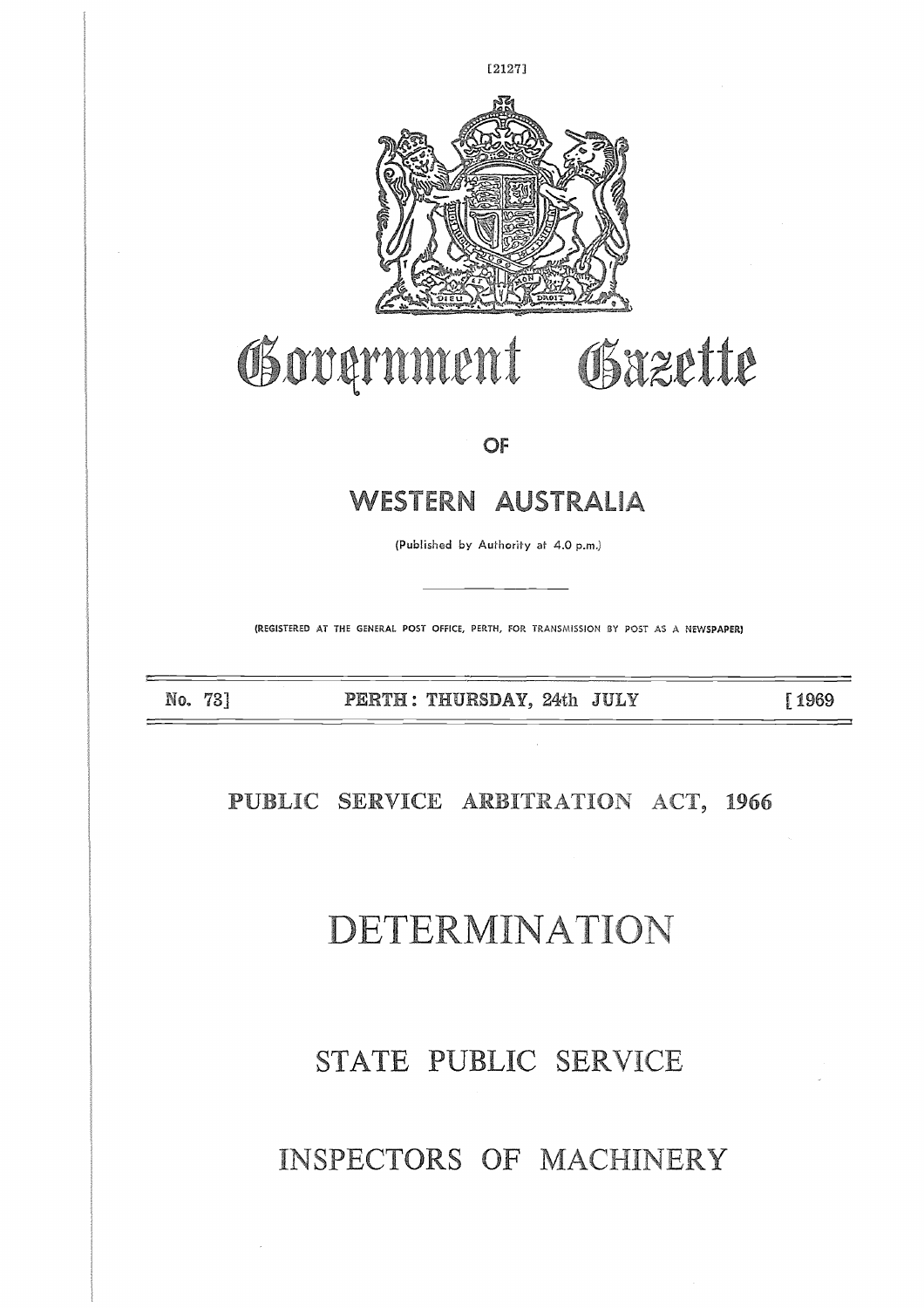

### Government Gazette

**OF**

## **WESTERN AUSTRALIA** WESTERN AUSTRALIA<br>
(Published by Authority at 4.0 p.m.)<br> **CRESITERED AT THE GENERAL POST OFFICE, PERTH, FOR TRANSMISSION BY POST AS A NEWSPAPER)<br>
No. 73] PERTH : THURSDAY, 24th JULY [1969]**

(Published by Authority at 4.0 p.m.)

(REGISTERED AT THE GENERAL POST OFFICE, PERTH, FOR TRANSMISSION BY POST AS A NEWSPAPER)

## PUBLIC SERVICE ARBITRATION ACT, 1966

## DETERMINATION  $\Delta$   $\Gamma$   $\Gamma$

#### STATE PUBLIC SERVICE

#### INSPECTORS OF MACHINERY  $\Delta$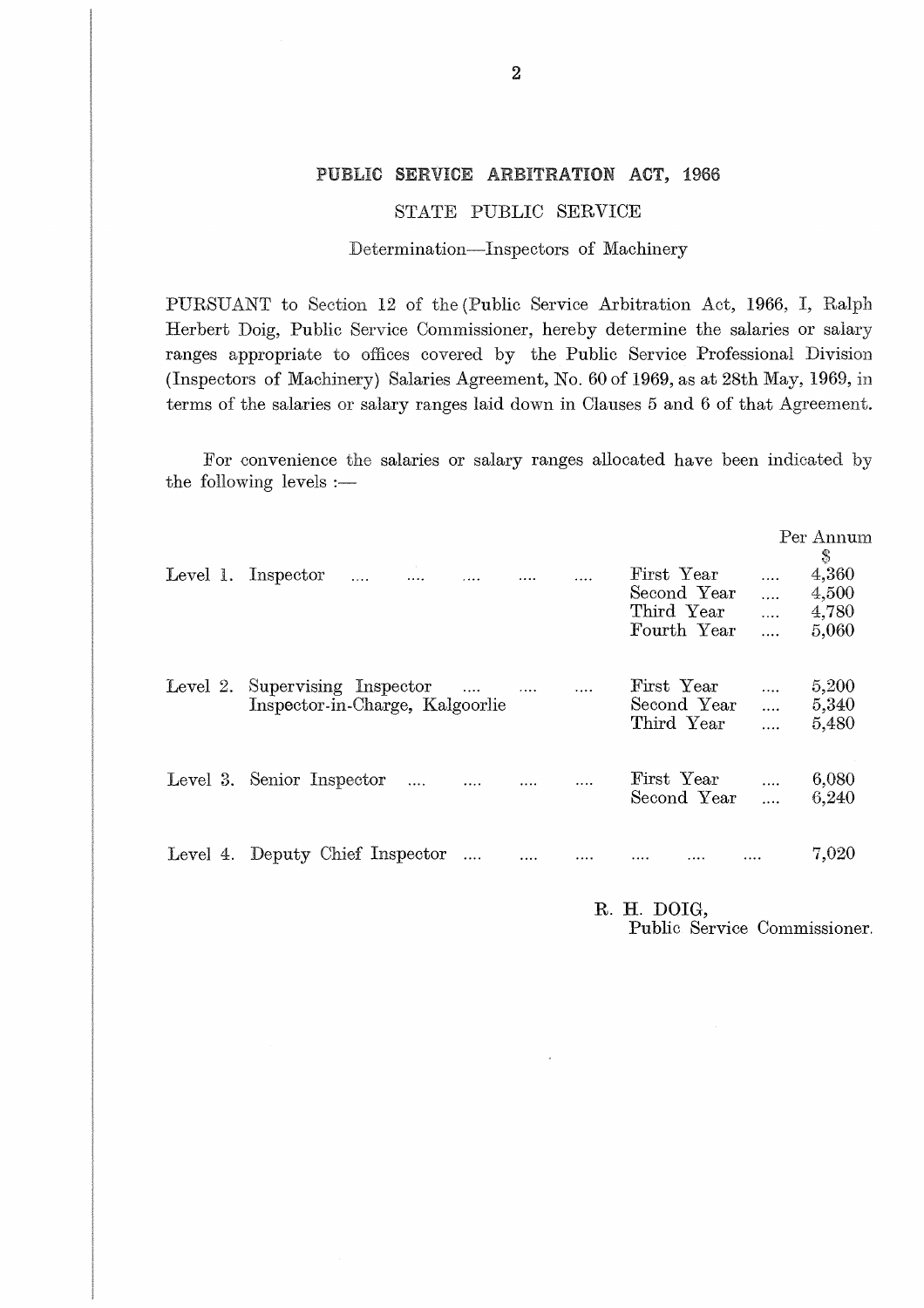# 2<br>PUBLIC SERVICE ARBITRATION ACT, 1966<br>STATE PUBLIC SERVICE

#### STATE PUBLIC SERVICE

#### Determination—Inspectors of Machinery

PURSUANT to Section 12 of the (Public Service Arbitration Act, 1966, I, Ralph Herbert Doig, Public Service Commissioner, hereby determine the salaries or salary ranges appropriate to offices covered by the Public Service Professional Division (Inspectors of Machinery) Salaries Agreement, No. 60 of 1969, as at 28th May, 1969, in terms of the salaries or salary ranges laid down in Clauses 5 and 6 of that Agreement.

| I CHROCHINE TO DECTROIL LA OL THE LE ROHO DELVICE HIBHTATOLI HOT, 1900, 1, ITALIA<br>Herbert Doig, Public Service Commissioner, hereby determine the salaries or salary<br>ranges appropriate to offices covered by the Public Service Professional Division<br>(Inspectors of Machinery) Salaries Agreement, No. 60 of 1969, as at 28th May, 1969, in<br>terms of the salaries or salary ranges laid down in Clauses 5 and 6 of that Agreement. |          |                                                        |                          |                                                     |
|--------------------------------------------------------------------------------------------------------------------------------------------------------------------------------------------------------------------------------------------------------------------------------------------------------------------------------------------------------------------------------------------------------------------------------------------------|----------|--------------------------------------------------------|--------------------------|-----------------------------------------------------|
| For convenience the salaries or salary ranges allocated have been indicated by<br>the following levels $:$ —                                                                                                                                                                                                                                                                                                                                     |          |                                                        |                          |                                                     |
| Level 1. Inspector<br>$\cdots$                                                                                                                                                                                                                                                                                                                                                                                                                   |          | First Year<br>Second Year<br>Third Year<br>Fourth Year | .<br>$\ddotsc$<br>.<br>. | Per Annum<br>\$<br>4,360<br>4,500<br>4,780<br>5,060 |
| Level 2. Supervising Inspector<br>Inspector-in-Charge, Kalgoorlie                                                                                                                                                                                                                                                                                                                                                                                |          | First Year<br>Second Year<br>Third Year                | .<br>.<br>.              | 5,200<br>5,340<br>5,480                             |
| Level 3. Senior Inspector                                                                                                                                                                                                                                                                                                                                                                                                                        | $\cdots$ | First Year<br>Second Year                              | $\cdots$<br>$\dddotsc$   | 6,080<br>6,240                                      |
| Level 4. Deputy Chief Inspector                                                                                                                                                                                                                                                                                                                                                                                                                  | .        |                                                        |                          | 7,020                                               |
|                                                                                                                                                                                                                                                                                                                                                                                                                                                  |          | R. H. DOIG,<br>Dubble Question Queenstation            |                          |                                                     |

Public Service Commissioner.